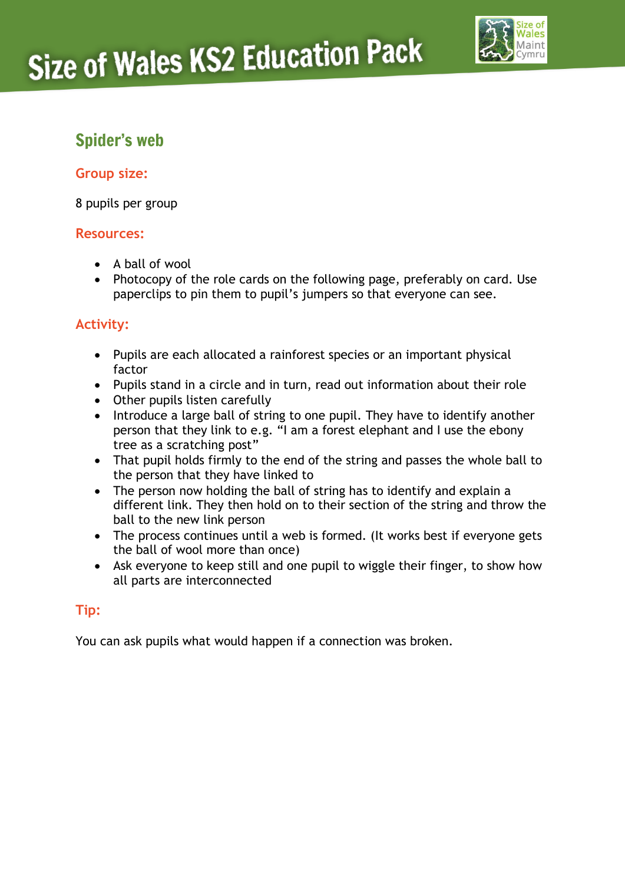

## Spider's web

#### **Group size:**

8 pupils per group

#### **Resources:**

- A ball of wool
- Photocopy of the role cards on the following page, preferably on card. Use paperclips to pin them to pupil's jumpers so that everyone can see.

### **Activity:**

- Pupils are each allocated a rainforest species or an important physical factor
- Pupils stand in a circle and in turn, read out information about their role
- Other pupils listen carefully
- Introduce a large ball of string to one pupil. They have to identify another person that they link to e.g. "I am a forest elephant and I use the ebony tree as a scratching post"
- That pupil holds firmly to the end of the string and passes the whole ball to the person that they have linked to
- The person now holding the ball of string has to identify and explain a different link. They then hold on to their section of the string and throw the ball to the new link person
- The process continues until a web is formed. (It works best if everyone gets the ball of wool more than once)
- Ask everyone to keep still and one pupil to wiggle their finger, to show how all parts are interconnected

### **Tip:**

You can ask pupils what would happen if a connection was broken.